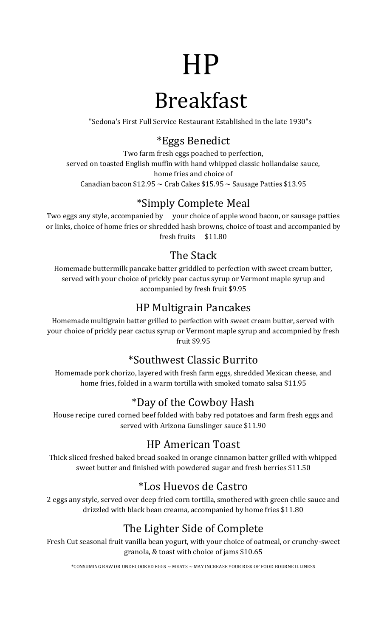# HP

# Breakfast

"Sedona's First Full Service Restaurant Established in the late 1930"s

#### \*Eggs Benedict

Two farm fresh eggs poached to perfection, served on toasted English muffin with hand whipped classic hollandaise sauce, home fries and choice of Canadian bacon \$12.95  $\sim$  Crab Cakes \$15.95  $\sim$  Sausage Patties \$13.95

# \*Simply Complete Meal

Two eggs any style, accompanied by your choice of apple wood bacon, or sausage patties or links, choice of home fries or shredded hash browns, choice of toast and accompanied by fresh fruits \$11.80

### The Stack

Homemade buttermilk pancake batter griddled to perfection with sweet cream butter, served with your choice of prickly pear cactus syrup or Vermont maple syrup and accompanied by fresh fruit \$9.95

#### HP Multigrain Pancakes

Homemade multigrain batter grilled to perfection with sweet cream butter, served with your choice of prickly pear cactus syrup or Vermont maple syrup and accompnied by fresh fruit \$9.95

#### \*Southwest Classic Burrito

Homemade pork chorizo, layered with fresh farm eggs, shredded Mexican cheese, and home fries, folded in a warm tortilla with smoked tomato salsa \$11.95

### \*Day of the Cowboy Hash

House recipe cured corned beef folded with baby red potatoes and farm fresh eggs and served with Arizona Gunslinger sauce \$11.90

#### HP American Toast

Thick sliced freshed baked bread soaked in orange cinnamon batter grilled with whipped sweet butter and finished with powdered sugar and fresh berries \$11.50

### \*Los Huevos de Castro

2 eggs any style, served over deep fried corn tortilla, smothered with green chile sauce and drizzled with black bean creama, accompanied by home fries \$11.80

# The Lighter Side of Complete

Fresh Cut seasonal fruit vanilla bean yogurt, with your choice of oatmeal, or crunchy-sweet granola, & toast with choice of jams \$10.65

\*CONSUMING RAW OR UNDECOOKED EGGS ~ MEATS ~ MAY INCREASE YOUR RISK OF FOOD BOURNE ILLINESS